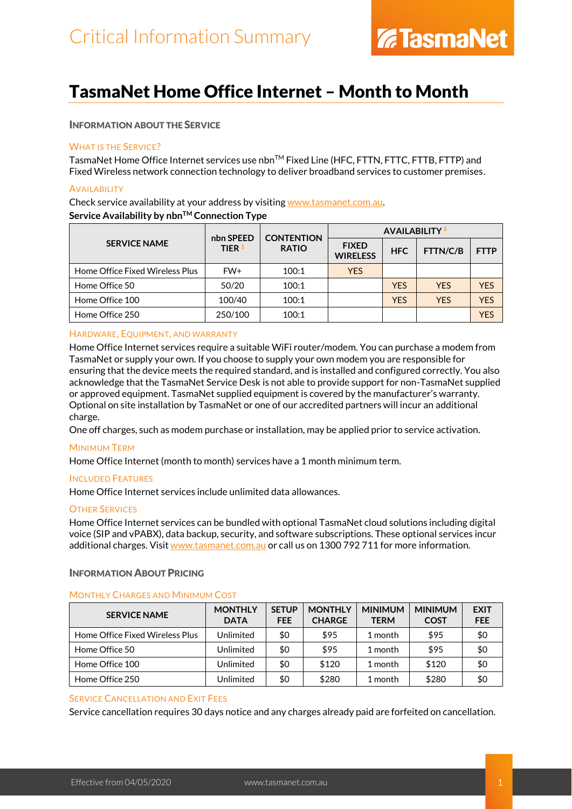### TasmaNet Home Office Internet – Month to Month

### INFORMATION ABOUT THE SERVICE

### WHAT IS THE SERVICE?

TasmaNet Home Office Internet services use nbn™ Fixed Line (HFC, FTTN, FTTC, FTTB, FTTP) and Fixed Wireless network connection technology to deliver broadband services to customer premises.

### **AVAILABILITY**

Check service availability at your address by visiting [www.tasmanet.com.au.](https://www.tasmanet.com.au/) **Service Availability by nbnTM Connection Type**

|                                 | nbn SPEED                | <b>CONTENTION</b> | <b>AVAILABILITY</b> <sup>2</sup> |            |            |             |
|---------------------------------|--------------------------|-------------------|----------------------------------|------------|------------|-------------|
| <b>SERVICE NAME</b>             | TIER $1$<br><b>RATIO</b> |                   | <b>FIXED</b><br><b>WIRELESS</b>  | <b>HFC</b> | FTTN/C/B   | <b>FTTP</b> |
| Home Office Fixed Wireless Plus | FW+                      | 100:1             | <b>YES</b>                       |            |            |             |
| Home Office 50                  | 50/20                    | 100:1             |                                  | <b>YES</b> | <b>YES</b> | <b>YFS</b>  |
| Home Office 100                 | 100/40                   | 100:1             |                                  | <b>YFS</b> | <b>YFS</b> | <b>YFS</b>  |
| Home Office 250                 | 250/100                  | 100:1             |                                  |            |            | <b>YFS</b>  |

### HARDWARE, EQUIPMENT, AND WARRANTY

Home Office Internet services require a suitable WiFi router/modem. You can purchase a modem from TasmaNet or supply your own. If you choose to supply your own modem you are responsible for ensuring that the device meets the required standard, and is installed and configured correctly. You also acknowledge that the TasmaNet Service Desk is not able to provide support for non-TasmaNet supplied or approved equipment. TasmaNet supplied equipment is covered by the manufacturer's warranty. Optional on site installation by TasmaNet or one of our accredited partners will incur an additional charge.

One off charges, such as modem purchase or installation, may be applied prior to service activation.

### MINIMUM TERM

Home Office Internet (month to month) services have a 1 month minimum term.

### INCLUDED FEATURES

Home Office Internet services include unlimited data allowances.

### OTHER SERVICES

Home Office Internet services can be bundled with optional TasmaNet cloud solutions including digital voice (SIP and vPABX), data backup, security, and software subscriptions. These optional services incur additional charges. Visit [www.tasmanet.com.au](http://www.tasmanet.com.au/) or call us on 1300 792 711 for more information.

### INFORMATION ABOUT PRICING

### MONTHLY CHARGES AND MINIMUM COST

| <b>SERVICE NAME</b>             | <b>MONTHLY</b><br><b>DATA</b> | <b>SETUP</b><br><b>FEE</b> | <b>MONTHLY</b><br><b>CHARGE</b> | <b>MINIMUM</b><br><b>TERM</b> | <b>MINIMUM</b><br><b>COST</b> | <b>EXIT</b><br><b>FEE</b> |
|---------------------------------|-------------------------------|----------------------------|---------------------------------|-------------------------------|-------------------------------|---------------------------|
| Home Office Fixed Wireless Plus | Unlimited                     | \$0                        | \$95                            | 1 month                       | \$95                          | \$0                       |
| Home Office 50                  | Unlimited                     | \$0                        | \$95                            | 1 month                       | \$95                          | \$0                       |
| Home Office 100                 | Unlimited                     | \$0                        | \$120                           | 1 month                       | \$120                         | \$0                       |
| Home Office 250                 | Unlimited                     | \$0                        | \$280                           | 1 month                       | \$280                         | \$0                       |

### SERVICE CANCELLATION AND EXIT FEES

Service cancellation requires 30 days notice and any charges already paid are forfeited on cancellation.